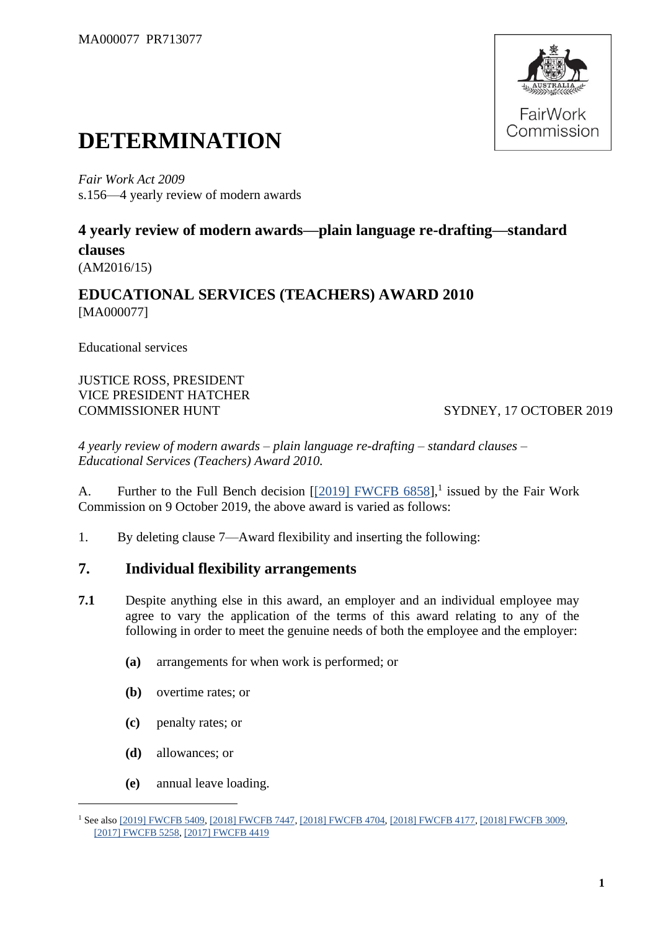

# **DETERMINATION**

*Fair Work Act 2009*  s.156—4 yearly review of modern awards

# **4 yearly review of modern awards—plain language re-drafting—standard clauses** (AM2016/15)

# **EDUCATIONAL SERVICES (TEACHERS) AWARD 2010** [MA000077]

Educational services

JUSTICE ROSS, PRESIDENT VICE PRESIDENT HATCHER COMMISSIONER HUNT SYDNEY, 17 OCTOBER 2019

*4 yearly review of modern awards – plain language re-drafting – standard clauses – Educational Services (Teachers) Award 2010.*

A. Further to the Full Bench decision  $[2019]$  FWCFB 6858],<sup>1</sup> issued by the Fair Work Commission on 9 October 2019, the above award is varied as follows:

1. By deleting clause 7—Award flexibility and inserting the following:

# **7. Individual flexibility arrangements**

- **7.1** Despite anything else in this award, an employer and an individual employee may agree to vary the application of the terms of this award relating to any of the following in order to meet the genuine needs of both the employee and the employer:
	- **(a)** arrangements for when work is performed; or
	- **(b)** overtime rates; or
	- **(c)** penalty rates; or
	- **(d)** allowances; or
	- **(e)** annual leave loading.

<sup>1</sup> See also [\[2019\] FWCFB 5409,](https://www.fwc.gov.au/documents/decisionssigned/html/2019fwcfb5409.htm) [\[2018\] FWCFB 7447,](https://www.fwc.gov.au/documents/decisionssigned/html/2018fwcfb7447.htm) [\[2018\] FWCFB 4704,](https://www.fwc.gov.au/documents/decisionssigned/html/2018fwcfb4704.htm) [\[2018\] FWCFB 4177,](https://www.fwc.gov.au/documents/decisionssigned/html/2018fwcfb4177.htm) [\[2018\] FWCFB 3009,](https://www.fwc.gov.au/documents/decisionssigned/html/2018fwcfb3009.htm) [\[2017\] FWCFB 5258,](https://www.fwc.gov.au/documents/decisionssigned/html/2017fwcfb5258.htm) [\[2017\] FWCFB 4419](https://www.fwc.gov.au/documents/decisionssigned/html/2017fwcfb4419.htm)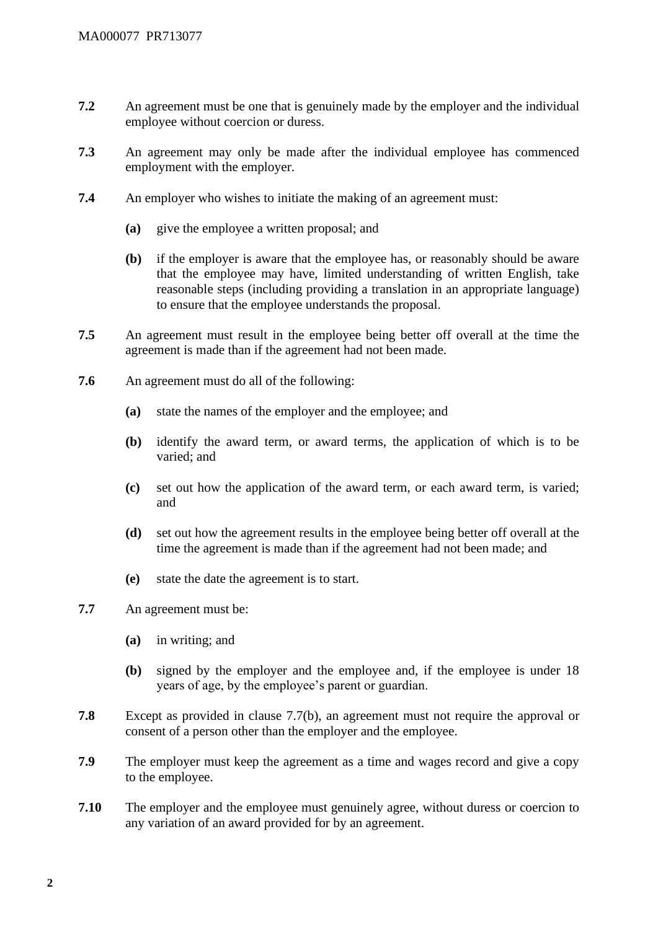- **7.2** An agreement must be one that is genuinely made by the employer and the individual employee without coercion or duress.
- **7.3** An agreement may only be made after the individual employee has commenced employment with the employer.
- **7.4** An employer who wishes to initiate the making of an agreement must:
	- **(a)** give the employee a written proposal; and
	- **(b)** if the employer is aware that the employee has, or reasonably should be aware that the employee may have, limited understanding of written English, take reasonable steps (including providing a translation in an appropriate language) to ensure that the employee understands the proposal.
- **7.5** An agreement must result in the employee being better off overall at the time the agreement is made than if the agreement had not been made.
- **7.6** An agreement must do all of the following:
	- **(a)** state the names of the employer and the employee; and
	- **(b)** identify the award term, or award terms, the application of which is to be varied; and
	- **(c)** set out how the application of the award term, or each award term, is varied; and
	- **(d)** set out how the agreement results in the employee being better off overall at the time the agreement is made than if the agreement had not been made; and
	- **(e)** state the date the agreement is to start.
- **7.7** An agreement must be:
	- **(a)** in writing; and
	- **(b)** signed by the employer and the employee and, if the employee is under 18 years of age, by the employee's parent or guardian.
- **7.8** Except as provided in clause 7.7(b), an agreement must not require the approval or consent of a person other than the employer and the employee.
- **7.9** The employer must keep the agreement as a time and wages record and give a copy to the employee.
- **7.10** The employer and the employee must genuinely agree, without duress or coercion to any variation of an award provided for by an agreement.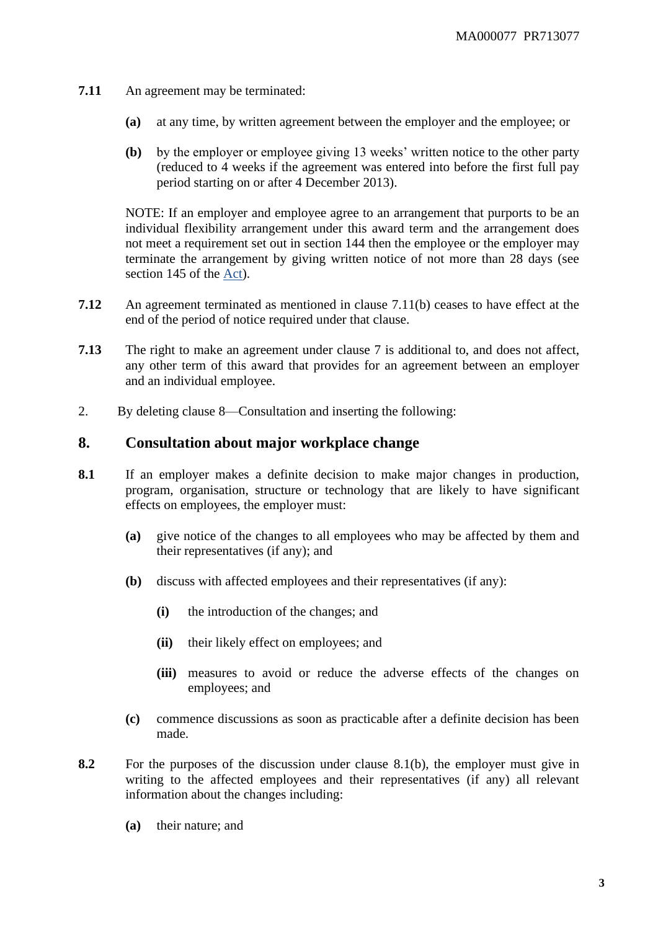- **7.11** An agreement may be terminated:
	- **(a)** at any time, by written agreement between the employer and the employee; or
	- **(b)** by the employer or employee giving 13 weeks' written notice to the other party (reduced to 4 weeks if the agreement was entered into before the first full pay period starting on or after 4 December 2013).

NOTE: If an employer and employee agree to an arrangement that purports to be an individual flexibility arrangement under this award term and the arrangement does not meet a requirement set out in section 144 then the employee or the employer may terminate the arrangement by giving written notice of not more than 28 days (see section 145 of the [Act\)](http://www.legislation.gov.au/Series/C2009A00028).

- **7.12** An agreement terminated as mentioned in clause 7.11(b) ceases to have effect at the end of the period of notice required under that clause.
- **7.13** The right to make an agreement under clause 7 is additional to, and does not affect, any other term of this award that provides for an agreement between an employer and an individual employee.
- 2. By deleting clause 8—Consultation and inserting the following:

## **8. Consultation about major workplace change**

- **8.1** If an employer makes a definite decision to make major changes in production, program, organisation, structure or technology that are likely to have significant effects on employees, the employer must:
	- **(a)** give notice of the changes to all employees who may be affected by them and their representatives (if any); and
	- **(b)** discuss with affected employees and their representatives (if any):
		- **(i)** the introduction of the changes; and
		- **(ii)** their likely effect on employees; and
		- **(iii)** measures to avoid or reduce the adverse effects of the changes on employees; and
	- **(c)** commence discussions as soon as practicable after a definite decision has been made.
- **8.2** For the purposes of the discussion under clause 8.1(b), the employer must give in writing to the affected employees and their representatives (if any) all relevant information about the changes including:
	- **(a)** their nature; and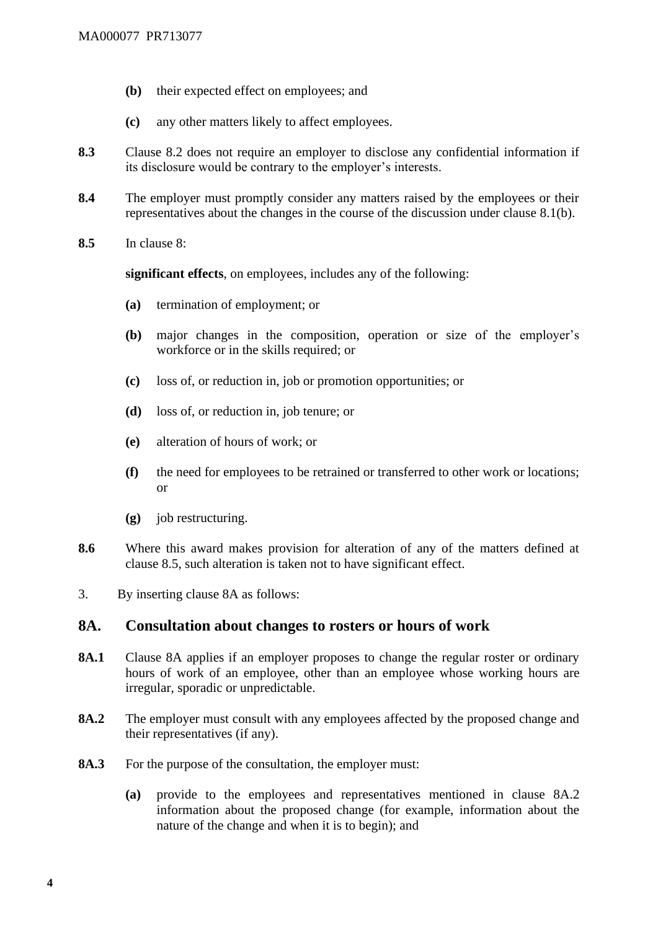- **(b)** their expected effect on employees; and
- **(c)** any other matters likely to affect employees.
- **8.3** Clause 8.2 does not require an employer to disclose any confidential information if its disclosure would be contrary to the employer's interests.
- **8.4** The employer must promptly consider any matters raised by the employees or their representatives about the changes in the course of the discussion under clause 8.1(b).
- **8.5** In clause 8:

**significant effects**, on employees, includes any of the following:

- **(a)** termination of employment; or
- **(b)** major changes in the composition, operation or size of the employer's workforce or in the skills required; or
- **(c)** loss of, or reduction in, job or promotion opportunities; or
- **(d)** loss of, or reduction in, job tenure; or
- **(e)** alteration of hours of work; or
- **(f)** the need for employees to be retrained or transferred to other work or locations; or
- **(g)** job restructuring.
- **8.6** Where this award makes provision for alteration of any of the matters defined at clause 8.5, such alteration is taken not to have significant effect.
- 3. By inserting clause 8A as follows:

## **8A. Consultation about changes to rosters or hours of work**

- 8A.1 Clause 8A applies if an employer proposes to change the regular roster or ordinary hours of work of an employee, other than an employee whose working hours are irregular, sporadic or unpredictable.
- **8A.2** The employer must consult with any employees affected by the proposed change and their representatives (if any).
- **8A.3** For the purpose of the consultation, the employer must:
	- **(a)** provide to the employees and representatives mentioned in clause 8A.2 information about the proposed change (for example, information about the nature of the change and when it is to begin); and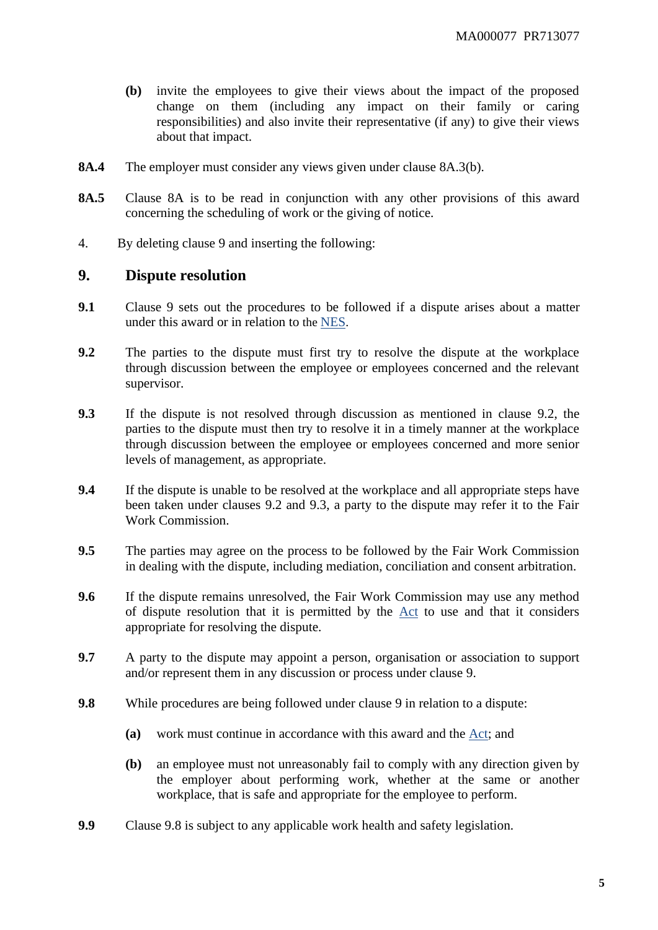- **(b)** invite the employees to give their views about the impact of the proposed change on them (including any impact on their family or caring responsibilities) and also invite their representative (if any) to give their views about that impact.
- **8A.4** The employer must consider any views given under clause 8A.3(b).
- **8A.5** Clause 8A is to be read in conjunction with any other provisions of this award concerning the scheduling of work or the giving of notice.
- 4. By deleting clause 9 and inserting the following:

## **9. Dispute resolution**

- **9.1** Clause 9 sets out the procedures to be followed if a dispute arises about a matter under this award or in relation to the [NES](https://www.fwc.gov.au/documents/awardmod/download/nes.pdf).
- **9.2** The parties to the dispute must first try to resolve the dispute at the workplace through discussion between the employee or employees concerned and the relevant supervisor.
- **9.3** If the dispute is not resolved through discussion as mentioned in clause 9.2, the parties to the dispute must then try to resolve it in a timely manner at the workplace through discussion between the employee or employees concerned and more senior levels of management, as appropriate.
- **9.4** If the dispute is unable to be resolved at the workplace and all appropriate steps have been taken under clauses 9.2 and 9.3, a party to the dispute may refer it to the Fair Work Commission.
- **9.5** The parties may agree on the process to be followed by the Fair Work Commission in dealing with the dispute, including mediation, conciliation and consent arbitration.
- **9.6** If the dispute remains unresolved, the Fair Work Commission may use any method of dispute resolution that it is permitted by the [Act](http://www.legislation.gov.au/Series/C2009A00028) to use and that it considers appropriate for resolving the dispute.
- **9.7** A party to the dispute may appoint a person, organisation or association to support and/or represent them in any discussion or process under clause 9.
- **9.8** While procedures are being followed under clause 9 in relation to a dispute:
	- **(a)** work must continue in accordance with this award and the [Act;](http://www.legislation.gov.au/Series/C2009A00028) and
	- **(b)** an employee must not unreasonably fail to comply with any direction given by the employer about performing work, whether at the same or another workplace, that is safe and appropriate for the employee to perform.
- **9.9** Clause 9.8 is subject to any applicable work health and safety legislation.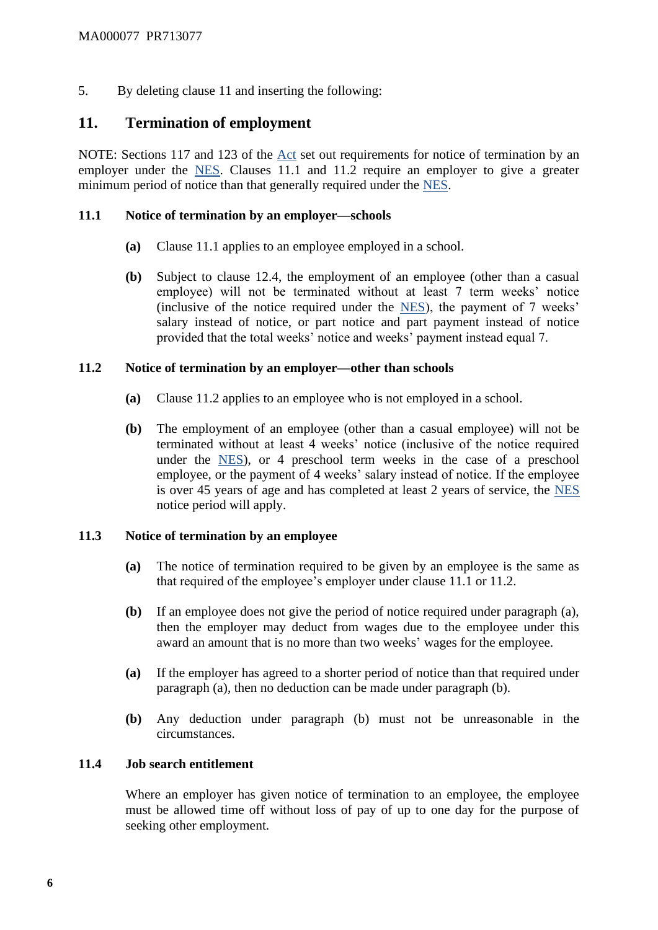5. By deleting clause 11 and inserting the following:

# **11. Termination of employment**

NOTE: Sections 117 and 123 of the [Act](http://www.legislation.gov.au/Series/C2009A00028) set out requirements for notice of termination by an employer under the [NES.](https://www.fwc.gov.au/documents/awardmod/download/nes.pdf) Clauses 11.1 and 11.2 require an employer to give a greater minimum period of notice than that generally required under the [NES.](https://www.fwc.gov.au/documents/awardmod/download/nes.pdf)

#### **11.1 Notice of termination by an employer—schools**

- **(a)** Clause 11.1 applies to an employee employed in a school.
- **(b)** Subject to clause 12.4, the employment of an employee (other than a casual employee) will not be terminated without at least 7 term weeks' notice (inclusive of the notice required under the [NES\)](https://www.fwc.gov.au/documents/awardmod/download/nes.pdf), the payment of 7 weeks' salary instead of notice, or part notice and part payment instead of notice provided that the total weeks' notice and weeks' payment instead equal 7.

## **11.2 Notice of termination by an employer—other than schools**

- **(a)** Clause 11.2 applies to an employee who is not employed in a school.
- **(b)** The employment of an employee (other than a casual employee) will not be terminated without at least 4 weeks' notice (inclusive of the notice required under the [NES\)](https://www.fwc.gov.au/documents/awardmod/download/nes.pdf), or 4 preschool term weeks in the case of a preschool employee, or the payment of 4 weeks' salary instead of notice. If the employee is over 45 years of age and has completed at least 2 years of service, the [NES](https://www.fwc.gov.au/documents/awardmod/download/nes.pdf) notice period will apply.

## **11.3 Notice of termination by an employee**

- **(a)** The notice of termination required to be given by an employee is the same as that required of the employee's employer under clause 11.1 or 11.2.
- **(b)** If an employee does not give the period of notice required under paragraph (a), then the employer may deduct from wages due to the employee under this award an amount that is no more than two weeks' wages for the employee.
- **(a)** If the employer has agreed to a shorter period of notice than that required under paragraph (a), then no deduction can be made under paragraph (b).
- **(b)** Any deduction under paragraph (b) must not be unreasonable in the circumstances.

## **11.4 Job search entitlement**

Where an employer has given notice of termination to an employee, the employee must be allowed time off without loss of pay of up to one day for the purpose of seeking other employment.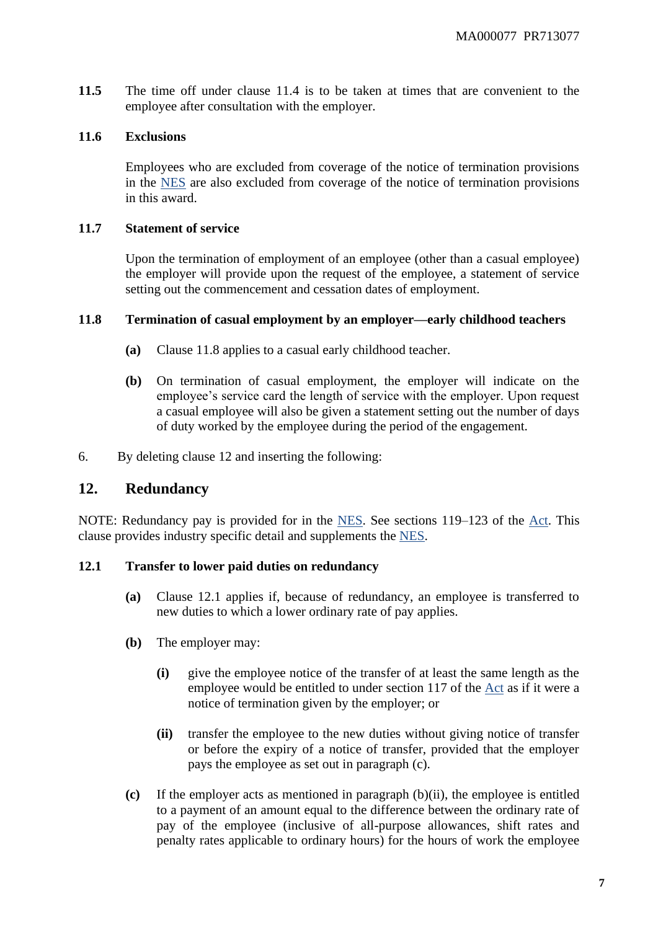**11.5** The time off under clause 11.4 is to be taken at times that are convenient to the employee after consultation with the employer.

#### **11.6 Exclusions**

Employees who are excluded from coverage of the notice of termination provisions in the [NES](https://www.fwc.gov.au/documents/awardmod/download/nes.pdf) are also excluded from coverage of the notice of termination provisions in this award.

#### **11.7 Statement of service**

Upon the termination of employment of an employee (other than a casual employee) the employer will provide upon the request of the employee, a statement of service setting out the commencement and cessation dates of employment.

#### **11.8 Termination of casual employment by an employer—early childhood teachers**

- **(a)** Clause 11.8 applies to a casual early childhood teacher.
- **(b)** On termination of casual employment, the employer will indicate on the employee's service card the length of service with the employer. Upon request a casual employee will also be given a statement setting out the number of days of duty worked by the employee during the period of the engagement.
- 6. By deleting clause 12 and inserting the following:

# **12. Redundancy**

NOTE: Redundancy pay is provided for in the [NES.](https://www.fwc.gov.au/documents/awardmod/download/nes.pdf) See sections 119–123 of the [Act.](http://www.legislation.gov.au/Series/C2009A00028) This clause provides industry specific detail and supplements the [NES.](https://www.fwc.gov.au/documents/awardmod/download/nes.pdf)

#### **12.1 Transfer to lower paid duties on redundancy**

- **(a)** Clause 12.1 applies if, because of redundancy, an employee is transferred to new duties to which a lower ordinary rate of pay applies.
- **(b)** The employer may:
	- **(i)** give the employee notice of the transfer of at least the same length as the employee would be entitled to under section 117 of the [Act](http://www.legislation.gov.au/Series/C2009A00028) as if it were a notice of termination given by the employer; or
	- **(ii)** transfer the employee to the new duties without giving notice of transfer or before the expiry of a notice of transfer, provided that the employer pays the employee as set out in paragraph (c).
- **(c)** If the employer acts as mentioned in paragraph (b)(ii), the employee is entitled to a payment of an amount equal to the difference between the ordinary rate of pay of the employee (inclusive of all-purpose allowances, shift rates and penalty rates applicable to ordinary hours) for the hours of work the employee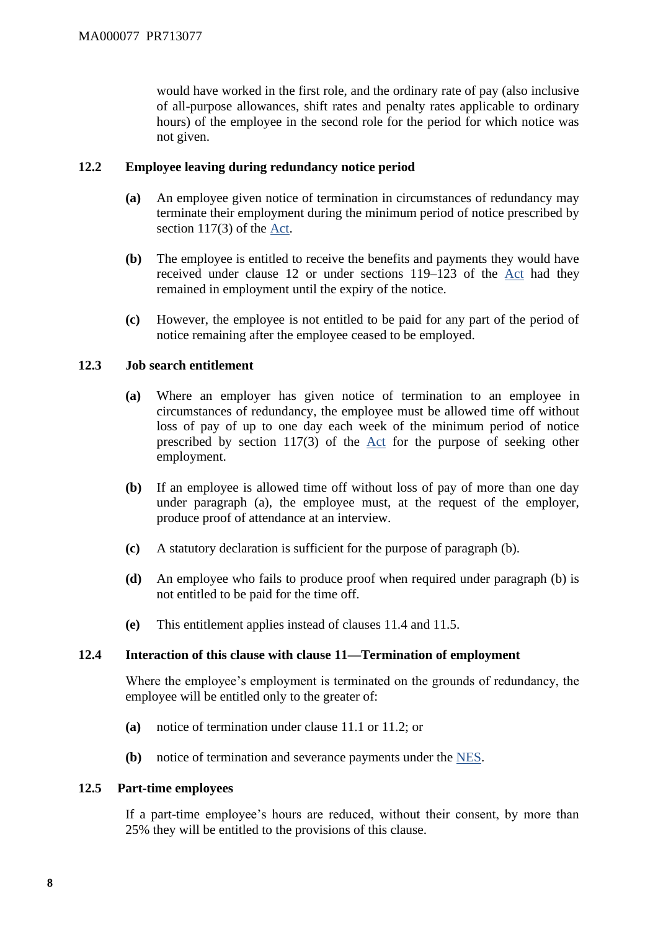would have worked in the first role, and the ordinary rate of pay (also inclusive of all-purpose allowances, shift rates and penalty rates applicable to ordinary hours) of the employee in the second role for the period for which notice was not given.

## **12.2 Employee leaving during redundancy notice period**

- **(a)** An employee given notice of termination in circumstances of redundancy may terminate their employment during the minimum period of notice prescribed by section 117(3) of the [Act.](http://www.legislation.gov.au/Series/C2009A00028)
- **(b)** The employee is entitled to receive the benefits and payments they would have received under clause 12 or under sections 119–123 of the [Act](http://www.legislation.gov.au/Series/C2009A00028) had they remained in employment until the expiry of the notice.
- **(c)** However, the employee is not entitled to be paid for any part of the period of notice remaining after the employee ceased to be employed.

## **12.3 Job search entitlement**

- **(a)** Where an employer has given notice of termination to an employee in circumstances of redundancy, the employee must be allowed time off without loss of pay of up to one day each week of the minimum period of notice prescribed by section 117(3) of the [Act](http://www.legislation.gov.au/Series/C2009A00028) for the purpose of seeking other employment.
- **(b)** If an employee is allowed time off without loss of pay of more than one day under paragraph (a), the employee must, at the request of the employer, produce proof of attendance at an interview.
- **(c)** A statutory declaration is sufficient for the purpose of paragraph (b).
- **(d)** An employee who fails to produce proof when required under paragraph (b) is not entitled to be paid for the time off.
- **(e)** This entitlement applies instead of clauses 11.4 and 11.5.

#### **12.4 Interaction of this clause with clause 11—Termination of employment**

Where the employee's employment is terminated on the grounds of redundancy, the employee will be entitled only to the greater of:

- **(a)** notice of termination under clause 11.1 or 11.2; or
- **(b)** notice of termination and severance payments under the [NES.](https://www.fwc.gov.au/documents/awardmod/download/nes.pdf)

#### **12.5 Part-time employees**

If a part-time employee's hours are reduced, without their consent, by more than 25% they will be entitled to the provisions of this clause.